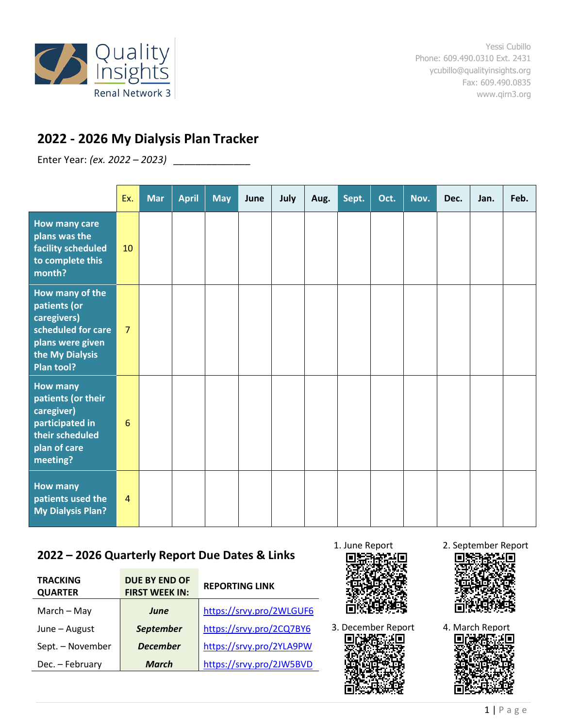

# **2022 - 2026 My Dialysis Plan Tracker**

Enter Year: *(ex. 2022 – 2023) \_\_\_\_\_\_\_\_\_\_\_\_\_\_*

|                                                                                                                           | Ex.             | <b>Mar</b> | <b>April</b> | <b>May</b> | June | July | Aug. | Sept. | Oct. | Nov. | Dec. | Jan. | Feb. |
|---------------------------------------------------------------------------------------------------------------------------|-----------------|------------|--------------|------------|------|------|------|-------|------|------|------|------|------|
| <b>How many care</b><br>plans was the<br>facility scheduled<br>to complete this<br>month?                                 | 10              |            |              |            |      |      |      |       |      |      |      |      |      |
| How many of the<br>patients (or<br>caregivers)<br>scheduled for care<br>plans were given<br>the My Dialysis<br>Plan tool? | $\overline{7}$  |            |              |            |      |      |      |       |      |      |      |      |      |
| <b>How many</b><br>patients (or their<br>caregiver)<br>participated in<br>their scheduled<br>plan of care<br>meeting?     | $6\phantom{1}6$ |            |              |            |      |      |      |       |      |      |      |      |      |
| <b>How many</b><br>patients used the<br><b>My Dialysis Plan?</b>                                                          | $\overline{4}$  |            |              |            |      |      |      |       |      |      |      |      |      |

## **2022 – 2026 Quarterly Report Due Dates & Links**

| <b>TRACKING</b><br><b>QUARTER</b> | <b>DUE BY END OF</b><br><b>FIRST WEEK IN:</b> | <b>REPORTING LINK</b>    |      |
|-----------------------------------|-----------------------------------------------|--------------------------|------|
| $March - May$                     | <b>June</b>                                   | https://srvy.pro/2WLGUF6 |      |
| June - August                     | <b>September</b>                              | https://srvy.pro/2CQ7BY6 | 3. I |
| Sept. - November                  | <b>December</b>                               | https://srvy.pro/2YLA9PW |      |
| Dec. - February                   | <b>March</b>                                  | https://srvy.pro/2JW5BVD |      |





1. June Report 2. September Report



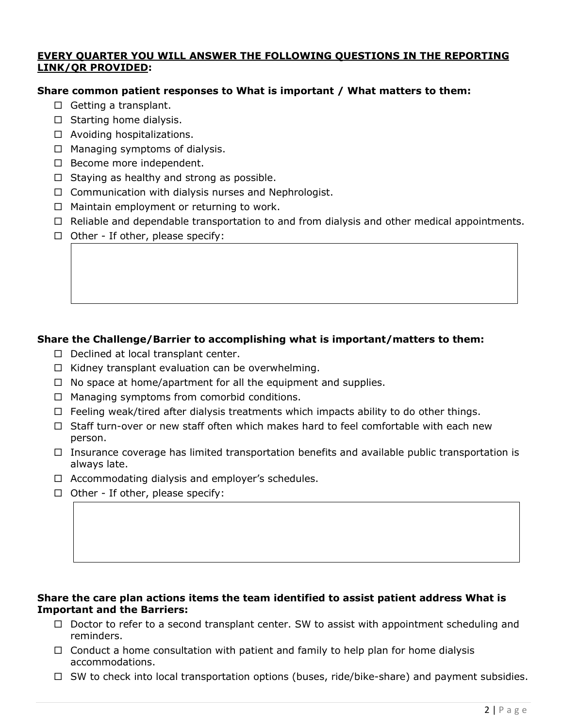#### **EVERY QUARTER YOU WILL ANSWER THE FOLLOWING QUESTIONS IN THE REPORTING LINK/QR PROVIDED:**

#### **Share common patient responses to What is important / What matters to them:**

- $\Box$  Getting a transplant.
- $\Box$  Starting home dialysis.
- $\Box$  Avoiding hospitalizations.
- $\Box$  Managing symptoms of dialysis.
- $\Box$  Become more independent.
- $\Box$  Staying as healthy and strong as possible.
- $\Box$  Communication with dialysis nurses and Nephrologist.
- $\Box$  Maintain employment or returning to work.
- $\Box$  Reliable and dependable transportation to and from dialysis and other medical appointments.
- $\Box$  Other If other, please specify:

### **Share the Challenge/Barrier to accomplishing what is important/matters to them:**

- $\Box$  Declined at local transplant center.
- $\Box$  Kidney transplant evaluation can be overwhelming.
- $\Box$  No space at home/apartment for all the equipment and supplies.
- $\Box$  Managing symptoms from comorbid conditions.
- $\Box$  Feeling weak/tired after dialysis treatments which impacts ability to do other things.
- $\Box$  Staff turn-over or new staff often which makes hard to feel comfortable with each new person.
- $\Box$  Insurance coverage has limited transportation benefits and available public transportation is always late.
- $\Box$  Accommodating dialysis and employer's schedules.
- $\Box$  Other If other, please specify:

#### **Share the care plan actions items the team identified to assist patient address What is Important and the Barriers:**

- $\Box$  Doctor to refer to a second transplant center. SW to assist with appointment scheduling and reminders.
- $\Box$  Conduct a home consultation with patient and family to help plan for home dialysis accommodations.
- $\Box$  SW to check into local transportation options (buses, ride/bike-share) and payment subsidies.